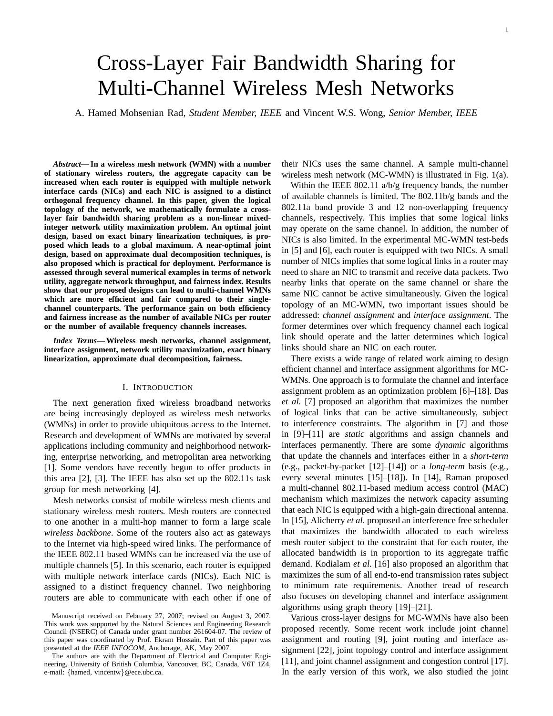# Cross-Layer Fair Bandwidth Sharing for Multi-Channel Wireless Mesh Networks

A. Hamed Mohsenian Rad, *Student Member, IEEE* and Vincent W.S. Wong, *Senior Member, IEEE*

*Abstract***— In a wireless mesh network (WMN) with a number of stationary wireless routers, the aggregate capacity can be increased when each router is equipped with multiple network interface cards (NICs) and each NIC is assigned to a distinct orthogonal frequency channel. In this paper, given the logical topology of the network, we mathematically formulate a crosslayer fair bandwidth sharing problem as a non-linear mixedinteger network utility maximization problem. An optimal joint design, based on exact binary linearization techniques, is proposed which leads to a global maximum. A near-optimal joint design, based on approximate dual decomposition techniques, is also proposed which is practical for deployment. Performance is assessed through several numerical examples in terms of network utility, aggregate network throughput, and fairness index. Results show that our proposed designs can lead to multi-channel WMNs which are more efficient and fair compared to their singlechannel counterparts. The performance gain on both efficiency and fairness increase as the number of available NICs per router or the number of available frequency channels increases.**

*Index Terms***— Wireless mesh networks, channel assignment, interface assignment, network utility maximization, exact binary linearization, approximate dual decomposition, fairness.**

## I. INTRODUCTION

The next generation fixed wireless broadband networks are being increasingly deployed as wireless mesh networks (WMNs) in order to provide ubiquitous access to the Internet. Research and development of WMNs are motivated by several applications including community and neighborhood networking, enterprise networking, and metropolitan area networking [1]. Some vendors have recently begun to offer products in this area [2], [3]. The IEEE has also set up the 802.11s task group for mesh networking [4].

Mesh networks consist of mobile wireless mesh clients and stationary wireless mesh routers. Mesh routers are connected to one another in a multi-hop manner to form a large scale *wireless backbone*. Some of the routers also act as gateways to the Internet via high-speed wired links. The performance of the IEEE 802.11 based WMNs can be increased via the use of multiple channels [5]. In this scenario, each router is equipped with multiple network interface cards (NICs). Each NIC is assigned to a distinct frequency channel. Two neighboring routers are able to communicate with each other if one of their NICs uses the same channel. A sample multi-channel wireless mesh network (MC-WMN) is illustrated in Fig. 1(a).

Within the IEEE 802.11 a/b/g frequency bands, the number of available channels is limited. The 802.11b/g bands and the 802.11a band provide 3 and 12 non-overlapping frequency channels, respectively. This implies that some logical links may operate on the same channel. In addition, the number of NICs is also limited. In the experimental MC-WMN test-beds in [5] and [6], each router is equipped with two NICs. A small number of NICs implies that some logical links in a router may need to share an NIC to transmit and receive data packets. Two nearby links that operate on the same channel or share the same NIC cannot be active simultaneously. Given the logical topology of an MC-WMN, two important issues should be addressed: *channel assignment* and *interface assignment*. The former determines over which frequency channel each logical link should operate and the latter determines which logical links should share an NIC on each router.

There exists a wide range of related work aiming to design efficient channel and interface assignment algorithms for MC-WMNs. One approach is to formulate the channel and interface assignment problem as an optimization problem [6]–[18]. Das *et al.* [7] proposed an algorithm that maximizes the number of logical links that can be active simultaneously, subject to interference constraints. The algorithm in [7] and those in [9]–[11] are *static* algorithms and assign channels and interfaces permanently. There are some *dynamic* algorithms that update the channels and interfaces either in a *short-term* (e.g., packet-by-packet [12]–[14]) or a *long-term* basis (e.g., every several minutes [15]–[18]). In [14], Raman proposed a multi-channel 802.11-based medium access control (MAC) mechanism which maximizes the network capacity assuming that each NIC is equipped with a high-gain directional antenna. In [15], Alicherry *et al.* proposed an interference free scheduler that maximizes the bandwidth allocated to each wireless mesh router subject to the constraint that for each router, the allocated bandwidth is in proportion to its aggregate traffic demand. Kodialam *et al.* [16] also proposed an algorithm that maximizes the sum of all end-to-end transmission rates subject to minimum rate requirements. Another tread of research also focuses on developing channel and interface assignment algorithms using graph theory [19]–[21].

Various cross-layer designs for MC-WMNs have also been proposed recently. Some recent work include joint channel assignment and routing [9], joint routing and interface assignment [22], joint topology control and interface assignment [11], and joint channel assignment and congestion control [17]. In the early version of this work, we also studied the joint

Manuscript received on February 27, 2007; revised on August 3, 2007. This work was supported by the Natural Sciences and Engineering Research Council (NSERC) of Canada under grant number 261604-07. The review of this paper was coordinated by Prof. Ekram Hossain. Part of this paper was presented at the *IEEE INFOCOM*, Anchorage, AK, May 2007.

The authors are with the Department of Electrical and Computer Engineering, University of British Columbia, Vancouver, BC, Canada, V6T 1Z4, e-mail: {hamed, vincentw}@ece.ubc.ca.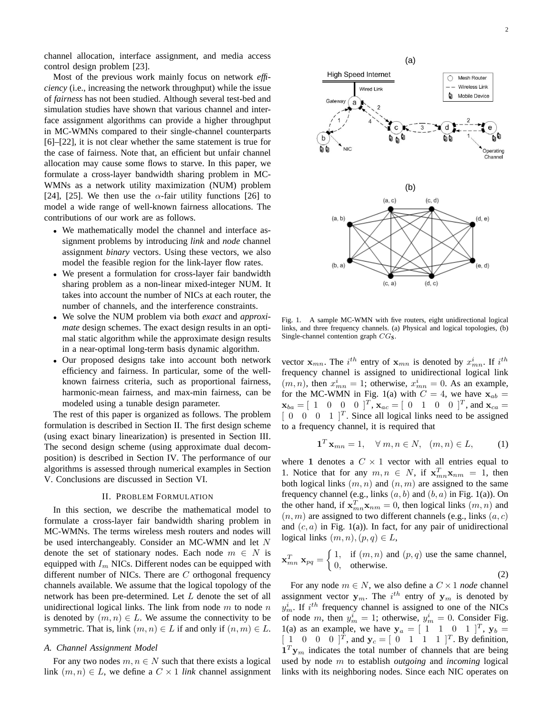channel allocation, interface assignment, and media access control design problem [23].

Most of the previous work mainly focus on network *efficiency* (i.e., increasing the network throughput) while the issue of *fairness* has not been studied. Although several test-bed and simulation studies have shown that various channel and interface assignment algorithms can provide a higher throughput in MC-WMNs compared to their single-channel counterparts [6]–[22], it is not clear whether the same statement is true for the case of fairness. Note that, an efficient but unfair channel allocation may cause some flows to starve. In this paper, we formulate a cross-layer bandwidth sharing problem in MC-WMNs as a network utility maximization (NUM) problem [24], [25]. We then use the  $\alpha$ -fair utility functions [26] to model a wide range of well-known fairness allocations. The contributions of our work are as follows.

- We mathematically model the channel and interface assignment problems by introducing *link* and *node* channel assignment *binary* vectors. Using these vectors, we also model the feasible region for the link-layer flow rates.
- We present a formulation for cross-layer fair bandwidth sharing problem as a non-linear mixed-integer NUM. It takes into account the number of NICs at each router, the number of channels, and the interference constraints.
- We solve the NUM problem via both *exact* and *approximate* design schemes. The exact design results in an optimal static algorithm while the approximate design results in a near-optimal long-term basis dynamic algorithm.
- Our proposed designs take into account both network efficiency and fairness. In particular, some of the wellknown fairness criteria, such as proportional fairness, harmonic-mean fairness, and max-min fairness, can be modeled using a tunable design parameter.

The rest of this paper is organized as follows. The problem formulation is described in Section II. The first design scheme (using exact binary linearization) is presented in Section III. The second design scheme (using approximate dual decomposition) is described in Section IV. The performance of our algorithms is assessed through numerical examples in Section V. Conclusions are discussed in Section VI.

## II. PROBLEM FORMULATION

In this section, we describe the mathematical model to formulate a cross-layer fair bandwidth sharing problem in MC-WMNs. The terms wireless mesh routers and nodes will be used interchangeably. Consider an MC-WMN and let N denote the set of stationary nodes. Each node  $m \in N$  is equipped with  $I_m$  NICs. Different nodes can be equipped with different number of NICs. There are  $C$  orthogonal frequency channels available. We assume that the logical topology of the network has been pre-determined. Let L denote the set of all unidirectional logical links. The link from node  $m$  to node  $n$ is denoted by  $(m, n) \in L$ . We assume the connectivity to be symmetric. That is, link  $(m, n) \in L$  if and only if  $(n, m) \in L$ .

#### *A. Channel Assignment Model*

For any two nodes  $m, n \in N$  such that there exists a logical link  $(m, n) \in L$ , we define a  $C \times 1$  *link* channel assignment



(a)

 $\bigcirc$ 

ħ

Mesh Router **Wireless Link** 

Mobile Device

Operating Channel

(d, e)

**High Speed Internet** 

a

**NIC** 

 $(a, b)$ 

Gateway

**Wired Link** 

(b)

 $(c, d)$ 

 $(a, c)$ 

G

Fig. 1. A sample MC-WMN with five routers, eight unidirectional logical links, and three frequency channels. (a) Physical and logical topologies, (b) Single-channel contention graph CG*S*.

vector  $x_{mn}$ . The i<sup>th</sup> entry of  $x_{mn}$  is denoted by  $x_{mn}^i$ . If i<sup>th</sup> frequency channel is assigned to unidirectional logical link  $(m, n)$ , then  $x_{mn}^i = 1$ ; otherwise,  $x_{mn}^i = 0$ . As an example, for the MC-WMN in Fig. 1(a) with  $C = 4$ , we have  $x_{ab} =$  $\mathbf{x}_{ba} = [ 1 \ 0 \ 0 \ 0 \ 0 ]^T$ ,  $\mathbf{x}_{ac} = [ 0 \ 1 \ 0 \ 0 ]^T$ , and  $\mathbf{x}_{ca} =$  $\begin{bmatrix} 0 & 0 & 0 & 1 \end{bmatrix}^T$ . Since all logical links need to be assigned to a frequency channel, it is required that

$$
\mathbf{1}^T \mathbf{x}_{mn} = 1, \quad \forall \ m, n \in N, \quad (m, n) \in L,\tag{1}
$$

where 1 denotes a  $C \times 1$  vector with all entries equal to 1. Notice that for any  $m, n \in N$ , if  $\mathbf{x}_{mn}^T \mathbf{x}_{nm} = 1$ , then both logical links  $(m, n)$  and  $(n, m)$  are assigned to the same frequency channel (e.g., links  $(a, b)$  and  $(b, a)$  in Fig. 1(a)). On the other hand, if  $\mathbf{x}_{mn}^T \mathbf{x}_{nm} = 0$ , then logical links  $(m, n)$  and  $(n, m)$  are assigned to two different channels (e.g., links  $(a, c)$ ) and  $(c, a)$  in Fig. 1(a)). In fact, for any pair of unidirectional logical links  $(m, n), (p, q) \in L$ ,

$$
\mathbf{x}_{mn}^T \mathbf{x}_{pq} = \begin{cases} 1, & \text{if } (m, n) \text{ and } (p, q) \text{ use the same channel,} \\ 0, & \text{otherwise.} \end{cases}
$$
 (2)

For any node  $m \in N$ , we also define a  $C \times 1$  *node* channel assignment vector  $y_m$ . The i<sup>th</sup> entry of  $y_m$  is denoted by  $y_m^i$ . If  $i^{th}$  frequency channel is assigned to one of the NICs of node m, then  $y_m^i = 1$ ; otherwise,  $y_m^i = 0$ . Consider Fig. 1(a) as an example, we have  $y_a = \begin{bmatrix} 1 & 1 & 0 & 1 \end{bmatrix}^T$ ,  $y_b =$  $[1 \ 0 \ 0 \ 0]^T$ , and  $y_c = [0 \ 1 \ 1 \ 1]^T$ . By definition,  $1<sup>T</sup>y<sub>m</sub>$  indicates the total number of channels that are being used by node m to establish *outgoing* and *incoming* logical links with its neighboring nodes. Since each NIC operates on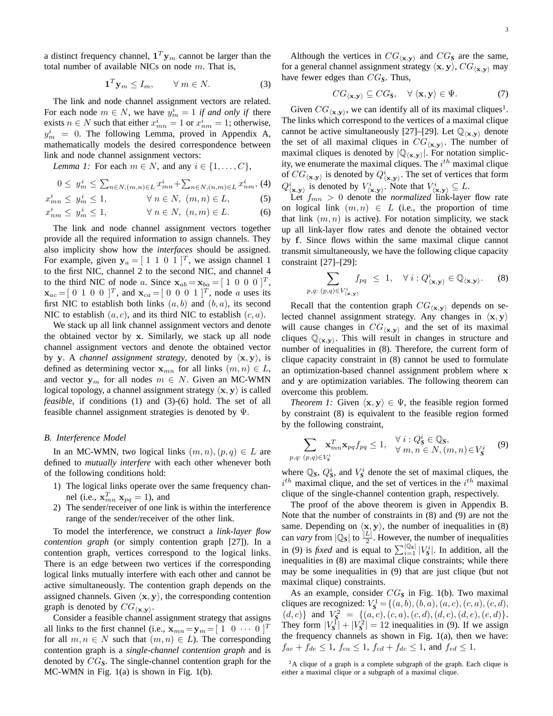a distinct frequency channel,  $\mathbf{1}^T \mathbf{y}_m$  cannot be larger than the total number of available NICs on node  $m$ . That is,

$$
\mathbf{1}^T \mathbf{y}_m \le I_m, \qquad \forall \ m \in N. \tag{3}
$$

The link and node channel assignment vectors are related. For each node  $m \in N$ , we have  $y_m^i = 1$  *if and only if there* exists  $n \in N$  such that either  $x_{mn}^i = 1$  or  $x_{nm}^i = 1$ ; otherwise,  $y_m^i = 0$ . The following Lemma, proved in Appendix A, mathematically models the desired correspondence between link and node channel assignment vectors:

*Lemma 1:* For each  $m \in N$ , and any  $i \in \{1, \ldots, C\}$ ,

$$
0 \leq y_m^i \leq \sum_{n \in N, (m,n) \in L} x_{mn}^i + \sum_{n \in N, (n,m) \in L} x_{nm}^i
$$
 (4)

$$
x_{mn}^i \le y_m^i \le 1, \qquad \forall n \in N, (m, n) \in L, \tag{5}
$$

$$
x_{nm}^i \le y_m^i \le 1, \qquad \forall n \in N, (n, m) \in L. \tag{6}
$$

The link and node channel assignment vectors together provide all the required information to assign channels. They also implicity show how the *interfaces* should be assigned. For example, given  $y_a = [1 \ 1 \ 0 \ 1]^T$ , we assign channel 1 to the first NIC, channel 2 to the second NIC, and channel 4 to the third NIC of node a. Since  $\mathbf{x}_{ab} = \mathbf{x}_{ba} = \begin{bmatrix} 1 & 0 & 0 & 0 \end{bmatrix}^T$ ,  $\mathbf{x}_{ac} = [0 \ 1 \ 0 \ 0 \ ]^T$ , and  $\mathbf{x}_{ca} = [0 \ 0 \ 0 \ 1 \ ]^T$ , node a uses its first NIC to establish both links  $(a, b)$  and  $(b, a)$ , its second NIC to establish  $(a, c)$ , and its third NIC to establish  $(c, a)$ .

We stack up all link channel assignment vectors and denote the obtained vector by x. Similarly, we stack up all node channel assignment vectors and denote the obtained vector by y. A *channel assignment strategy*, denoted by  $\langle x, y \rangle$ , is defined as determining vector  $x_{mn}$  for all links  $(m, n) \in L$ , and vector  $y_m$  for all nodes  $m \in N$ . Given an MC-WMN logical topology, a channel assignment strategy  $\langle x, y \rangle$  is called *feasible*, if conditions (1) and (3)-(6) hold. The set of all feasible channel assignment strategies is denoted by Ψ.

## *B. Interference Model*

In an MC-WMN, two logical links  $(m, n), (p, q) \in L$  are defined to *mutually interfere* with each other whenever both of the following conditions hold:

- 1) The logical links operate over the same frequency channel (i.e.,  $\mathbf{x}_{mn}^T \mathbf{x}_{pq} = 1$ ), and
- 2) The sender/receiver of one link is within the interference range of the sender/receiver of the other link.

To model the interference, we construct a *link-layer flow contention graph* (or simply contention graph [27]). In a contention graph, vertices correspond to the logical links. There is an edge between two vertices if the corresponding logical links mutually interfere with each other and cannot be active simultaneously. The contention graph depends on the assigned channels. Given  $\langle x, y \rangle$ , the corresponding contention graph is denoted by  $CG_{\langle \mathbf{x}, \mathbf{y} \rangle}$ .

Consider a feasible channel assignment strategy that assigns all links to the first channel (i.e.,  $\mathbf{x}_{mn} = \mathbf{y}_m = [1 \ 0 \ \cdots \ 0]^T$ for all  $m, n \in N$  such that  $(m, n) \in L$ ). The corresponding contention graph is a *single-channel contention graph* and is denoted by CG*S*. The single-channel contention graph for the MC-WMN in Fig. 1(a) is shown in Fig. 1(b).

Although the vertices in  $CG_{\langle x,y \rangle}$  and  $CG_S$  are the same, for a general channel assignment strategy  $\langle x, y \rangle$ ,  $CG_{\langle x, y \rangle}$  may have fewer edges than CG*S*. Thus,

$$
CG_{\langle \mathbf{x}, \mathbf{y} \rangle} \subseteq CG_S, \quad \forall \langle \mathbf{x}, \mathbf{y} \rangle \in \Psi. \tag{7}
$$

Given  $CG_{\langle \mathbf{x}, \mathbf{y} \rangle}$ , we can identify all of its maximal cliques<sup>1</sup>. The links which correspond to the vertices of a maximal clique cannot be active simultaneously [27]–[29]. Let  $\mathbb{Q}_{\langle \mathbf{x}, \mathbf{y} \rangle}$  denote the set of all maximal cliques in  $CG_{\langle x,y \rangle}$ . The number of maximal cliques is denoted by  $|\mathbb{Q}_{\langle x,y\rangle}|$ . For notation simplicity, we enumerate the maximal cliques. The  $i^{th}$  maximal clique of  $CG_{\langle \mathbf{x}, \mathbf{y} \rangle}$  is denoted by  $Q_{\langle \mathbf{x}, \mathbf{y} \rangle}^i$ . The set of vertices that form  $Q^i_{\langle \mathbf{x},\mathbf{y}\rangle}$  is denoted by  $V^i_{\langle \mathbf{x},\mathbf{y}\rangle}$ . Note that  $V^i_{\langle \mathbf{x},\mathbf{y}\rangle} \subseteq L$ .

Let  $f_{mn} > 0$  denote the *normalized* link-layer flow rate on logical link  $(m, n) \in L$  (i.e., the proportion of time that link  $(m, n)$  is active). For notation simplicity, we stack up all link-layer flow rates and denote the obtained vector by f. Since flows within the same maximal clique cannot transmit simultaneously, we have the following clique capacity constraint [27]–[29]:

$$
\sum_{p,q:\ (p,q)\in V^i_{\langle \mathbf{x},\mathbf{y}\rangle}} f_{pq} \leq 1, \quad \forall \ i: Q^i_{\langle \mathbf{x},\mathbf{y}\rangle} \in \mathbb{Q}_{\langle \mathbf{x},\mathbf{y}\rangle}. \tag{8}
$$

Recall that the contention graph  $CG_{\langle x,y \rangle}$  depends on selected channel assignment strategy. Any changes in  $\langle x, y \rangle$ will cause changes in  $CG_{\langle x,y \rangle}$  and the set of its maximal cliques  $\mathbb{Q}_{\langle x,y\rangle}$ . This will result in changes in structure and number of inequalities in (8). Therefore, the current form of clique capacity constraint in (8) cannot be used to formulate an optimization-based channel assignment problem where x and y are optimization variables. The following theorem can overcome this problem.

*Theorem 1:* Given  $\langle x, y \rangle \in \Psi$ , the feasible region formed by constraint (8) is equivalent to the feasible region formed by the following constraint,

$$
\sum_{p,q:\ (p,q)\in V_S^i} \mathbf{x}_{mn}^T \mathbf{x}_{pq} f_{pq} \le 1, \quad \forall \ i:\ Q_S^i \in \mathbb{Q}_S, \forall \ m,n \in N, (m,n) \in V_S^i
$$
 (9)

where  $\mathbb{Q}_s$ ,  $Q_s^i$ , and  $V_s^i$  denote the set of maximal cliques, the  $i<sup>th</sup>$  maximal clique, and the set of vertices in the  $i<sup>th</sup>$  maximal clique of the single-channel contention graph, respectively.

The proof of the above theorem is given in Appendix B. Note that the number of constraints in (8) and (9) are not the same. Depending on  $\langle x, y \rangle$ , the number of inequalities in (8) can *vary* from  $|Q_S|$  to  $\frac{|L|}{2}$ . However, the number of inequalities in (9) is *fixed* and is equal to  $\sum_{i=1}^{\lvert Q_5 \rvert} |V_5^i|$ . In addition, all the inequalities in (8) are maximal clique constraints; while there may be some inequalities in (9) that are just clique (but not maximal clique) constraints.

As an example, consider CG*<sup>S</sup>* in Fig. 1(b). Two maximal cliques are recognized:  $V_s^1 = \{(a, b), (b, a), (a, c), (c, a), (c, d),\}$  $(d, c)$ } and  $V_S^2 = \{(a, c), (c, a), (c, d), (d, c), (d, e), (e, d)\}.$ They form  $|V_s^1| + |V_s^2| = 12$  inequalities in (9). If we assign the frequency channels as shown in Fig. 1(a), then we have:  $f_{ac} + f_{de} \leq 1$ ,  $f_{ca} \leq 1$ ,  $f_{cd} + f_{dc} \leq 1$ , and  $f_{ed} \leq 1$ .

 $<sup>1</sup>A$  clique of a graph is a complete subgraph of the graph. Each clique is</sup> either a maximal clique or a subgraph of a maximal clique.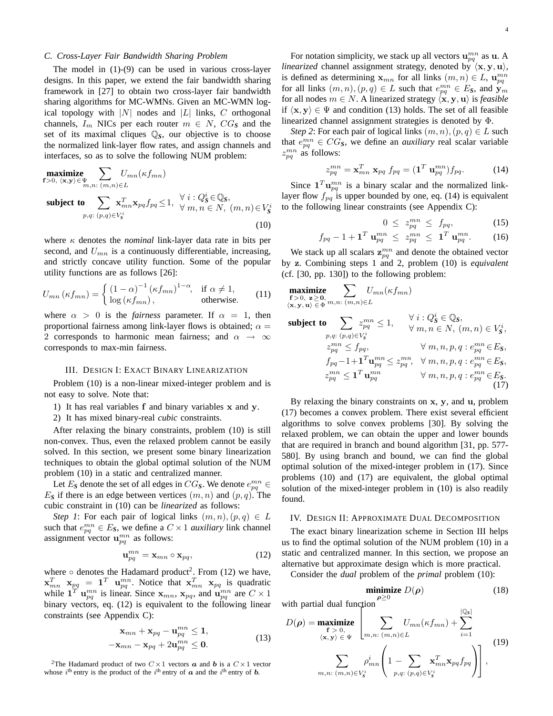## *C. Cross-Layer Fair Bandwidth Sharing Problem*

The model in (1)-(9) can be used in various cross-layer designs. In this paper, we extend the fair bandwidth sharing framework in [27] to obtain two cross-layer fair bandwidth sharing algorithms for MC-WMNs. Given an MC-WMN logical topology with  $|N|$  nodes and  $|L|$  links, C orthogonal channels,  $I_m$  NICs per each router  $m \in N$ ,  $CG_S$  and the set of its maximal cliques Q*S*, our objective is to choose the normalized link-layer flow rates, and assign channels and interfaces, so as to solve the following NUM problem:

$$
\begin{aligned}\n\mathbf{maximize}_{f>0, \ \langle \mathbf{x}, \mathbf{y} \rangle \in \Psi} & \sum_{m,n: \ (m,n) \in L} U_{mn}(\kappa f_{mn}) \\
\mathbf{subject to} & \sum_{p,q: \ (p,q) \in V_{\mathcal{S}}} \mathbf{x}_{mn}^T \mathbf{x}_{pq} f_{pq} \le 1, \ \ \forall \ n, n \in N, \ (m,n) \in V_{\mathcal{S}}^i \\
& \tag{10}\n\end{aligned}
$$

where  $\kappa$  denotes the *nominal* link-layer data rate in bits per second, and  $U_{mn}$  is a continuously differentiable, increasing, and strictly concave utility function. Some of the popular utility functions are as follows [26]:

$$
U_{mn}(\kappa f_{mn}) = \begin{cases} (1 - \alpha)^{-1} (\kappa f_{mn})^{1 - \alpha}, & \text{if } \alpha \neq 1, \\ \log(\kappa f_{mn}), & \text{otherwise.} \end{cases}
$$
 (11)

where  $\alpha > 0$  is the *fairness* parameter. If  $\alpha = 1$ , then proportional fairness among link-layer flows is obtained;  $\alpha =$ 2 corresponds to harmonic mean fairness; and  $\alpha \rightarrow \infty$ corresponds to max-min fairness.

## III. DESIGN I: EXACT BINARY LINEARIZATION

Problem (10) is a non-linear mixed-integer problem and is not easy to solve. Note that:

- 1) It has real variables f and binary variables x and y.
- 2) It has mixed binary-real *cubic* constraints.

After relaxing the binary constraints, problem (10) is still non-convex. Thus, even the relaxed problem cannot be easily solved. In this section, we present some binary linearization techniques to obtain the global optimal solution of the NUM problem (10) in a static and centralized manner.

Let  $E_S$  denote the set of all edges in  $CG_S$ . We denote  $e_{pq}^{mn} \in$  $E_S$  if there is an edge between vertices  $(m, n)$  and  $(p, q)$ . The cubic constraint in (10) can be *linearized* as follows:

*Step 1*: For each pair of logical links  $(m, n), (p, q) \in L$ such that  $e_{pq}^{mn} \in E_S$ , we define a  $C \times 1$  *auxiliary* link channel assignment vector  $\mathbf{u}_{pq}^{mn}$  as follows:

$$
\mathbf{u}_{pq}^{mn} = \mathbf{x}_{mn} \circ \mathbf{x}_{pq},\tag{12}
$$

where  $\circ$  denotes the Hadamard product<sup>2</sup>. From (12) we have,  $\mathbf{x}_{mn}^T$   $\mathbf{x}_{pq}$  =  $\mathbf{1}^T$   $\mathbf{u}_{pq}^{mn}$ . Notice that  $\mathbf{x}_{mn}^T$   $\mathbf{x}_{pq}$  is quadratic while  $\mathbf{1}^T \mathbf{u}_{pq}^{mn}$  is linear. Since  $\mathbf{x}_{mn}$ ,  $\mathbf{x}_{pq}$ , and  $\mathbf{u}_{pq}^{mn}$  are  $C \times 1$ binary vectors, eq. (12) is equivalent to the following linear constraints (see Appendix C):

$$
\mathbf{x}_{mn} + \mathbf{x}_{pq} - \mathbf{u}_{pq}^{mn} \le 1,
$$
  

$$
-\mathbf{x}_{mn} - \mathbf{x}_{pq} + 2\mathbf{u}_{pq}^{mn} \le 0.
$$
 (13)

<sup>2</sup>The Hadamard product of two  $C \times 1$  vectors  $\boldsymbol{a}$  and  $\boldsymbol{b}$  is a  $C \times 1$  vector whose  $i^{\text{th}}$  entry is the product of the  $i^{\text{th}}$  entry of  $\boldsymbol{a}$  and the  $i^{\text{th}}$  entry of  $\boldsymbol{b}$ .

For notation simplicity, we stack up all vectors  $\mathbf{u}_{pq}^{mn}$  as  $\mathbf{u}$ . A *linearized* channel assignment strategy, denoted by  $\langle x, y, u \rangle$ , is defined as determining  $\mathbf{x}_{mn}$  for all links  $(m, n) \in L$ ,  $\mathbf{u}_{pq}^{mn}$ for all links  $(m, n), (p, q) \in L$  such that  $e_{pq}^{mn} \in E_S$ , and  $\overline{y}_m$ for all nodes  $m \in N$ . A linearized strategy  $\langle \mathbf{x}, \mathbf{y}, \mathbf{u} \rangle$  is *feasible* if  $\langle x, y \rangle \in \Psi$  and condition (13) holds. The set of all feasible linearized channel assignment strategies is denoted by Φ.

*Step 2*: For each pair of logical links  $(m, n), (p, q) \in L$  such that  $e_{pq}^{mn} \in CG_S$ , we define an *auxiliary* real scalar variable  $z_{pq}^{mn}$  as follows:

$$
z_{pq}^{mn} = \mathbf{x}_{mn}^T \mathbf{x}_{pq} f_{pq} = (\mathbf{1}^T \mathbf{u}_{pq}^{mn}) f_{pq}.
$$
 (14)

Since  $\mathbf{1}^T \mathbf{u}_{pq}^{mn}$  is a binary scalar and the normalized linklayer flow  $f_{pq}$  is upper bounded by one, eq. (14) is equivalent to the following linear constraints (see Appendix C):

$$
0 \leq z_{pq}^{mn} \leq f_{pq}, \tag{15}
$$

$$
f_{pq}-1+\mathbf{1}^T\mathbf{u}_{pq}^{mn} \leq z_{pq}^{mn} \leq \mathbf{1}^T\mathbf{u}_{pq}^{mn}.
$$
 (16)

We stack up all scalars  $z_{pq}^{mn}$  and denote the obtained vector by z. Combining steps 1 and 2, problem (10) is *equivalent* (cf. [30, pp. 130]) to the following problem:

**maximize**<br>  $f > 0$ ,  $z \ge 0$ ,<br>  $\langle x, y, u \rangle \in \Phi$  $\sum$  $m,n:$   $(m,n) \in L$  $U_{mn}(\kappa f_{mn})$ 

$$
\begin{aligned}\n\text{subject to} & \sum_{p,q:\ (p,q)\in V_3^i} z_{pq}^{mn} \le 1, \qquad \forall i: Q_S^i \in \mathbb{Q}_S, \\
& \forall m, n \in N, \ (m,n) \in V_S^i, \\
& z_{pq}^{mn} \le f_{pq}, \qquad \qquad \forall m, n, p, q: e_{pq}^{mn} \in E_S, \\
& f_{pq} - 1 + \mathbf{1}^T \mathbf{u}_{pq}^{mn} \le z_{pq}^{mn}, \quad \forall m, n, p, q: e_{pq}^{mn} \in E_S, \\
& z_{pq}^{mn} \le \mathbf{1}^T \mathbf{u}_{pq}^{mn} \qquad \qquad \forall m, n, p, q: e_{pq}^{mn} \in E_S.\n\end{aligned}
$$
\n
$$
(17)
$$

By relaxing the binary constraints on x, y, and u, problem (17) becomes a convex problem. There exist several efficient algorithms to solve convex problems [30]. By solving the relaxed problem, we can obtain the upper and lower bounds that are required in branch and bound algorithm [31, pp. 577- 580]. By using branch and bound, we can find the global optimal solution of the mixed-integer problem in (17). Since problems (10) and (17) are equivalent, the global optimal solution of the mixed-integer problem in (10) is also readily found.

## IV. DESIGN II: APPROXIMATE DUAL DECOMPOSITION

The exact binary linearization scheme in Section III helps us to find the optimal solution of the NUM problem (10) in a static and centralized manner. In this section, we propose an alternative but approximate design which is more practical.

Consider the *dual* problem of the *primal* problem (10):

$$
\underset{\rho \ge 0}{\text{minimize}} D(\rho) \tag{18}
$$

 $\sim$ |

with partial dual function

$$
D(\rho) = \underset{\substack{\mathbf{f} > 0, \\ \langle \mathbf{x}, \mathbf{y} \rangle \in \Psi}}{\operatorname{maximize}} \left[ \sum_{m,n: (m,n) \in L} U_{mn}(\kappa f_{mn}) + \sum_{i=1}^{|\mathbb{Q}_S|} U_{mn}(\kappa f_{mn}) \right]
$$
\n
$$
\sum_{m,n: (m,n) \in V_S^i} \rho_{mn}^i \left( 1 - \sum_{p,q: (p,q) \in V_S^i} \mathbf{x}_{mn}^T \mathbf{x}_{pq} f_{pq} \right) , \tag{19}
$$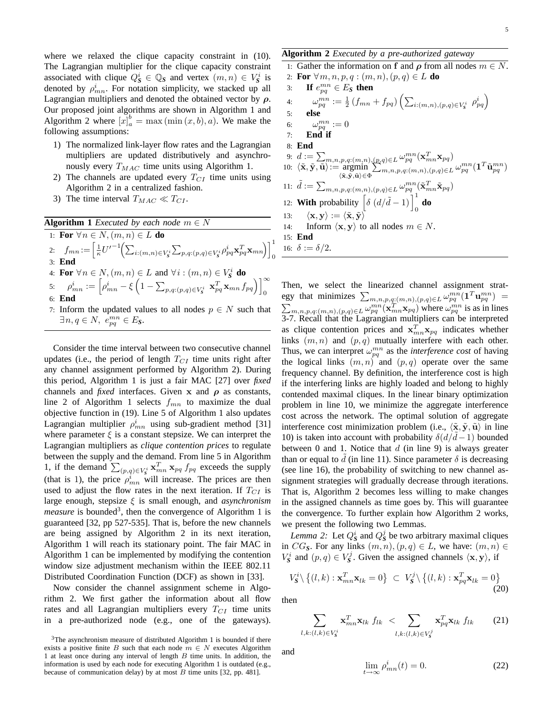where we relaxed the clique capacity constraint in  $(10)$ . The Lagrangian multiplier for the clique capacity constraint associated with clique  $Q_S^i \in \mathbb{Q}_S$  and vertex  $(m, n) \in V_S^i$  is denoted by  $\rho_{mn}^i$ . For notation simplicity, we stacked up all Lagrangian multipliers and denoted the obtained vector by  $\rho$ . Our proposed joint algorithms are shown in Algorithm 1 and Algorithm 2 where  $\left[x\right]_a^b = \max\left(\min\left(x, b\right), a\right)$ . We make the following assumptions:

- 1) The normalized link-layer flow rates and the Lagrangian multipliers are updated distributively and asynchronously every  $T_{MAC}$  time units using Algorithm 1.
- 2) The channels are updated every  $T_{CI}$  time units using Algorithm 2 in a centralized fashion.
- 3) The time interval  $T_{MAC} \ll T_{CI}$ .



 $\exists n, q \in N, e_{pq}^{mn} \in E_S.$ 

Consider the time interval between two consecutive channel updates (i.e., the period of length  $T_{CI}$  time units right after any channel assignment performed by Algorithm 2). During this period, Algorithm 1 is just a fair MAC [27] over *fixed* channels and *fixed* interfaces. Given  $x$  and  $\rho$  as constants, line 2 of Algorithm 1 selects  $f_{mn}$  to maximize the dual objective function in (19). Line 5 of Algorithm 1 also updates Lagrangian multiplier  $\rho_{mn}^i$  using sub-gradient method [31] where parameter  $\xi$  is a constant stepsize. We can interpret the Lagrangian multipliers as *clique contention prices* to regulate between the supply and the demand. From line 5 in Algorithm 1, if the demand  $\sum_{(p,q)\in V_s^i} x_{mn}^T x_{pq} f_{pq}$  exceeds the supply (that is 1), the price  $\rho_{mn}^i$  will increase. The prices are then used to adjust the flow rates in the next iteration. If  $T_{CI}$  is large enough, stepsize ξ is small enough, and *asynchronism* measure is bounded<sup>3</sup>, then the convergence of Algorithm 1 is guaranteed [32, pp 527-535]. That is, before the new channels are being assigned by Algorithm 2 in its next iteration, Algorithm 1 will reach its stationary point. The fair MAC in Algorithm 1 can be implemented by modifying the contention window size adjustment mechanism within the IEEE 802.11 Distributed Coordination Function (DCF) as shown in [33].

Now consider the channel assignment scheme in Algorithm 2. We first gather the information about all flow rates and all Lagrangian multipliers every  $T_{CI}$  time units in a pre-authorized node (e.g., one of the gateways).

#### **Algorithm 2** *Executed by a pre-authorized gateway*

1: Gather the information on f and  $\rho$  from all nodes  $m \in N$ . 2: **For**  $\forall m, n, p, q : (m, n), (p, q) \in L$  **do** 3: **If**  $e_{pq}^{mn} \in E_S$  **then** 4:  $\omega_{pq}^{mn}:=\frac{1}{2}\left(f_{mn}+f_{pq}\right)\left(\sum_{i:(m,n),(p,q)\in V_{\mathcal{S}}^i}\,\rho_{pq}^i\right)$ 5: **else** 6:  $\omega_{pq}^{mn} := 0$ 7: **End if** 8: **End** 9:  $d := \sum_{m,n,p,q:(m,n),(p,q)\in L} \omega_{pq}^{mn}(\mathbf{x}_{mn}^T\mathbf{x}_{pq})$ 10:  $\langle \tilde{\mathbf{x}}, \tilde{\mathbf{y}}, \tilde{\mathbf{u}} \rangle := \text{argmin}$  $\langle \tilde{\mathbf{x}}, \tilde{\mathbf{y}}, \tilde{\mathbf{u}} \rangle \! \in \! \Phi$  $\sum_{m,n,p,q:(m,n),(p,q)\in L}^{m}\omega_{pq}^{mn}({\bf 1}^T\tilde{\bf u}_{pq}^{mn})$ 11:  $\tilde{d} := \sum_{m,n,p,q:(m,n),(p,q)\in L} \omega_{pq}^{mn}(\tilde{\mathbf{x}}_{mn}^T \tilde{\mathbf{x}}_{pq})$ 12: **With** probability  $\left[ \delta \left( \frac{d}{\tilde{d}} - 1 \right) \right]_0^1$  **do** 13:  $\langle \mathbf{x}, \mathbf{y} \rangle := \langle \tilde{\mathbf{x}}, \tilde{\mathbf{y}} \rangle$ 14: Inform  $\langle \mathbf{x}, \mathbf{y} \rangle$  to all nodes  $m \in N$ . 15: **End** 16:  $\delta := \delta/2$ .

Then, we select the linearized channel assignment strategy that minimizes  $\sum_{m,n,p,q:(m,n),(p,q)\in L} \omega_{pq}^{mn}(\mathbf{1}^T\mathbf{u}_{pq}^{mn}) =$  $\sum_{m,n,p,q:(m,n),(p,q)\in L} \omega_{pq}^{mn}(\mathbf{x}_{mn}^T\mathbf{x}_{pq})$  where  $\omega_{pq}^{mn}$  is as in lines 3-7. Recall that the Lagrangian multipliers can be interpreted as clique contention prices and  $x_{mn}^T x_{pq}$  indicates whether links  $(m, n)$  and  $(p, q)$  mutually interfere with each other. Thus, we can interpret  $\omega_{pq}^{mn}$  as the *interference cost* of having the logical links  $(m, n)$  and  $(p, q)$  operate over the same frequency channel. By definition, the interference cost is high if the interfering links are highly loaded and belong to highly contended maximal cliques. In the linear binary optimization problem in line 10, we minimize the aggregate interference cost across the network. The optimal solution of aggregate interference cost minimization problem (i.e.,  $\langle \tilde{\mathbf{x}}, \tilde{\mathbf{y}}, \tilde{\mathbf{u}} \rangle$ ) in line 10) is taken into account with probability  $\delta(d/d-1)$  bounded between 0 and 1. Notice that  $d$  (in line 9) is always greater than or equal to  $\tilde{d}$  (in line 11). Since parameter  $\delta$  is decreasing (see line 16), the probability of switching to new channel assignment strategies will gradually decrease through iterations. That is, Algorithm 2 becomes less willing to make changes in the assigned channels as time goes by. This will guarantee the convergence. To further explain how Algorithm 2 works, we present the following two Lemmas.

*Lemma 2:* Let  $Q_S^i$  and  $Q_S^j$  be two arbitrary maximal cliques in  $CG_S$ . For any links  $(m, n), (p, q) \in L$ , we have:  $(m, n) \in$  $V_s^i$  and  $(p, q) \in V_s^j$ . Given the assigned channels  $\langle \mathbf{x}, \mathbf{y} \rangle$ , if

$$
V_{\mathbf{S}}^{i} \setminus \left\{ (l,k) : \mathbf{x}_{mn}^{T} \mathbf{x}_{lk} = 0 \right\} \subset V_{\mathbf{S}}^{j} \setminus \left\{ (l,k) : \mathbf{x}_{pq}^{T} \mathbf{x}_{lk} = 0 \right\}
$$
(20)

then

$$
\sum_{l,k:(l,k)\in V_{\mathcal{S}}^i} \mathbf{x}_{mn}^T \mathbf{x}_{lk} f_{lk} < \sum_{l,k:(l,k)\in V_{\mathcal{S}}^j} \mathbf{x}_{pq}^T \mathbf{x}_{lk} f_{lk}
$$
(21)

and

$$
\lim_{t \to \infty} \rho_{mn}^i(t) = 0. \tag{22}
$$

<sup>&</sup>lt;sup>3</sup>The asynchronism measure of distributed Algorithm 1 is bounded if there exists a positive finite B such that each node  $m \in N$  executes Algorithm 1 at least once during any interval of length  $B$  time units. In addition, the information is used by each node for executing Algorithm 1 is outdated (e.g., because of communication delay) by at most  $B$  time units [32, pp. 481].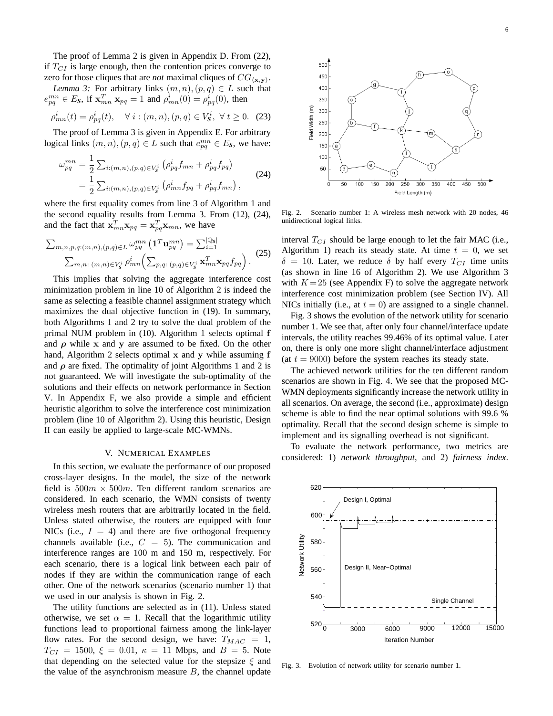The proof of Lemma 2 is given in Appendix D. From (22), if  $T_{CI}$  is large enough, then the contention prices converge to zero for those cliques that are *not* maximal cliques of  $CG_{\langle x,y \rangle}$ .

*Lemma 3:* For arbitrary links  $(m, n), (p, q) \in L$  such that  $e_{pq}^{mn} \in E_S$ , if  $\mathbf{x}_{mn}^T \mathbf{x}_{pq} = 1$  and  $\rho_{mn}^i(0) = \rho_{pq}^i(0)$ , then

$$
\rho_{mn}^i(t) = \rho_{pq}^i(t), \quad \forall \ i : (m, n), (p, q) \in V_S^i, \ \forall \ t \ge 0. \tag{23}
$$

The proof of Lemma 3 is given in Appendix E. For arbitrary logical links  $(m, n), (p, q) \in L$  such that  $e_{pq}^{mn} \in E_S$ , we have:

$$
\omega_{pq}^{mn} = \frac{1}{2} \sum_{i:(m,n),(p,q)\in V_{\mathcal{S}}^i} \left( \rho_{pq}^i f_{mn} + \rho_{pq}^i f_{pq} \right)
$$
  
= 
$$
\frac{1}{2} \sum_{i:(m,n),(p,q)\in V_{\mathcal{S}}^i} \left( \rho_{mn}^i f_{pq} + \rho_{pq}^i f_{mn} \right),
$$
 (24)

where the first equality comes from line 3 of Algorithm 1 and the second equality results from Lemma 3. From (12), (24), and the fact that  $\mathbf{x}_{mn}^T \mathbf{x}_{pq} = \mathbf{x}_{pq}^T \mathbf{x}_{mn}$ , we have

$$
\sum_{m,n,p,q:(m,n),(p,q)\in L} \omega_{pq}^{mn} \left( \mathbf{1}^T \mathbf{u}_{pq}^{mn} \right) = \sum_{i=1}^{|\mathbb{Q}_S|} \sum_{m,n:(m,n)\in V_S^i} \rho_{mn}^i \left( \sum_{p,q:(p,q)\in V_S^i} \mathbf{x}_{mn}^T \mathbf{x}_{pq} f_{pq} \right).
$$
 (25)

This implies that solving the aggregate interference cost minimization problem in line 10 of Algorithm 2 is indeed the same as selecting a feasible channel assignment strategy which maximizes the dual objective function in (19). In summary, both Algorithms 1 and 2 try to solve the dual problem of the primal NUM problem in (10). Algorithm 1 selects optimal f and  $\rho$  while x and y are assumed to be fixed. On the other hand, Algorithm 2 selects optimal x and y while assuming f and  $\rho$  are fixed. The optimality of joint Algorithms 1 and 2 is not guaranteed. We will investigate the sub-optimality of the solutions and their effects on network performance in Section V. In Appendix F, we also provide a simple and efficient heuristic algorithm to solve the interference cost minimization problem (line 10 of Algorithm 2). Using this heuristic, Design II can easily be applied to large-scale MC-WMNs.

## V. NUMERICAL EXAMPLES

In this section, we evaluate the performance of our proposed cross-layer designs. In the model, the size of the network field is  $500m \times 500m$ . Ten different random scenarios are considered. In each scenario, the WMN consists of twenty wireless mesh routers that are arbitrarily located in the field. Unless stated otherwise, the routers are equipped with four NICs (i.e.,  $I = 4$ ) and there are five orthogonal frequency channels available (i.e.,  $C = 5$ ). The communication and interference ranges are 100 m and 150 m, respectively. For each scenario, there is a logical link between each pair of nodes if they are within the communication range of each other. One of the network scenarios (scenario number 1) that we used in our analysis is shown in Fig. 2.

The utility functions are selected as in (11). Unless stated otherwise, we set  $\alpha = 1$ . Recall that the logarithmic utility functions lead to proportional fairness among the link-layer flow rates. For the second design, we have:  $T_{MAC} = 1$ ,  $T_{CI} = 1500, \xi = 0.01, \kappa = 11$  Mbps, and  $B = 5$ . Note that depending on the selected value for the stepsize  $\xi$  and the value of the asynchronism measure  $B$ , the channel update



Fig. 2. Scenario number 1: A wireless mesh network with 20 nodes, 46 unidirectional logical links.

interval  $T_{CI}$  should be large enough to let the fair MAC (i.e., Algorithm 1) reach its steady state. At time  $t = 0$ , we set  $\delta = 10$ . Later, we reduce  $\delta$  by half every  $T_{CI}$  time units (as shown in line 16 of Algorithm 2). We use Algorithm 3 with  $K = 25$  (see Appendix F) to solve the aggregate network interference cost minimization problem (see Section IV). All NICs initially (i.e., at  $t = 0$ ) are assigned to a single channel.

Fig. 3 shows the evolution of the network utility for scenario number 1. We see that, after only four channel/interface update intervals, the utility reaches 99.46% of its optimal value. Later on, there is only one more slight channel/interface adjustment (at  $t = 9000$ ) before the system reaches its steady state.

The achieved network utilities for the ten different random scenarios are shown in Fig. 4. We see that the proposed MC-WMN deployments significantly increase the network utility in all scenarios. On average, the second (i.e., approximate) design scheme is able to find the near optimal solutions with 99.6 % optimality. Recall that the second design scheme is simple to implement and its signalling overhead is not significant.

To evaluate the network performance, two metrics are considered: 1) *network throughput*, and 2) *fairness index*.



Fig. 3. Evolution of network utility for scenario number 1.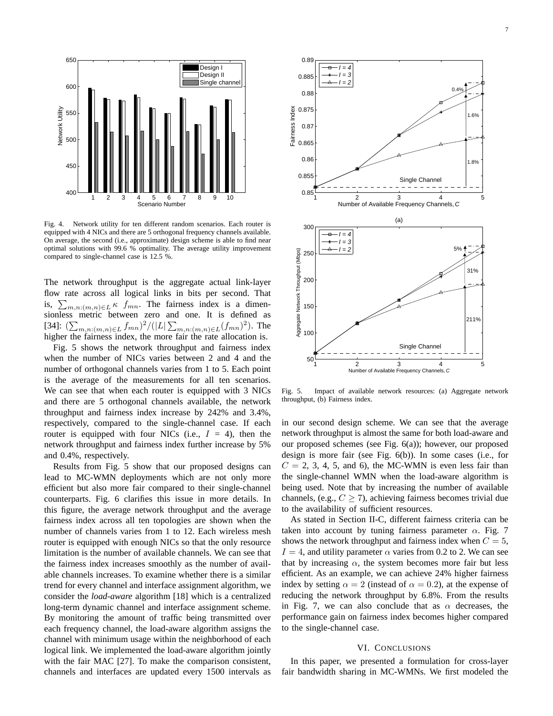

Fig. 4. Network utility for ten different random scenarios. Each router is equipped with 4 NICs and there are 5 orthogonal frequency channels available. On average, the second (i.e., approximate) design scheme is able to find near optimal solutions with 99.6 % optimality. The average utility improvement compared to single-channel case is 12.5 %.

The network throughput is the aggregate actual link-layer flow rate across all logical links in bits per second. That is,  $\sum_{m,n:(m,n)\in L}$   $\kappa$   $f_{mn}$ . The fairness index is a dimensionless metric between zero and one. It is defined as [34]:  $(\sum_{m,n:(m,n)\in L} f_{mn})^2/(|L|\sum_{m,n:(m,n)\in L} (f_{mn})^2)$ . The higher the fairness index, the more fair the rate allocation is.

Fig. 5 shows the network throughput and fairness index when the number of NICs varies between 2 and 4 and the number of orthogonal channels varies from 1 to 5. Each point is the average of the measurements for all ten scenarios. We can see that when each router is equipped with 3 NICs and there are 5 orthogonal channels available, the network throughput and fairness index increase by 242% and 3.4%, respectively, compared to the single-channel case. If each router is equipped with four NICs (i.e.,  $I = 4$ ), then the network throughput and fairness index further increase by 5% and 0.4%, respectively.

Results from Fig. 5 show that our proposed designs can lead to MC-WMN deployments which are not only more efficient but also more fair compared to their single-channel counterparts. Fig. 6 clarifies this issue in more details. In this figure, the average network throughput and the average fairness index across all ten topologies are shown when the number of channels varies from 1 to 12. Each wireless mesh router is equipped with enough NICs so that the only resource limitation is the number of available channels. We can see that the fairness index increases smoothly as the number of available channels increases. To examine whether there is a similar trend for every channel and interface assignment algorithm, we consider the *load-aware* algorithm [18] which is a centralized long-term dynamic channel and interface assignment scheme. By monitoring the amount of traffic being transmitted over each frequency channel, the load-aware algorithm assigns the channel with minimum usage within the neighborhood of each logical link. We implemented the load-aware algorithm jointly with the fair MAC [27]. To make the comparison consistent, channels and interfaces are updated every 1500 intervals as



Fig. 5. Impact of available network resources: (a) Aggregate network throughput, (b) Fairness index.

in our second design scheme. We can see that the average network throughput is almost the same for both load-aware and our proposed schemes (see Fig. 6(a)); however, our proposed design is more fair (see Fig. 6(b)). In some cases (i.e., for  $C = 2, 3, 4, 5,$  and 6), the MC-WMN is even less fair than the single-channel WMN when the load-aware algorithm is being used. Note that by increasing the number of available channels, (e.g.,  $C > 7$ ), achieving fairness becomes trivial due to the availability of sufficient resources.

As stated in Section II-C, different fairness criteria can be taken into account by tuning fairness parameter  $\alpha$ . Fig. 7 shows the network throughput and fairness index when  $C = 5$ ,  $I = 4$ , and utility parameter  $\alpha$  varies from 0.2 to 2. We can see that by increasing  $\alpha$ , the system becomes more fair but less efficient. As an example, we can achieve 24% higher fairness index by setting  $\alpha = 2$  (instead of  $\alpha = 0.2$ ), at the expense of reducing the network throughput by 6.8%. From the results in Fig. 7, we can also conclude that as  $\alpha$  decreases, the performance gain on fairness index becomes higher compared to the single-channel case.

#### VI. CONCLUSIONS

In this paper, we presented a formulation for cross-layer fair bandwidth sharing in MC-WMNs. We first modeled the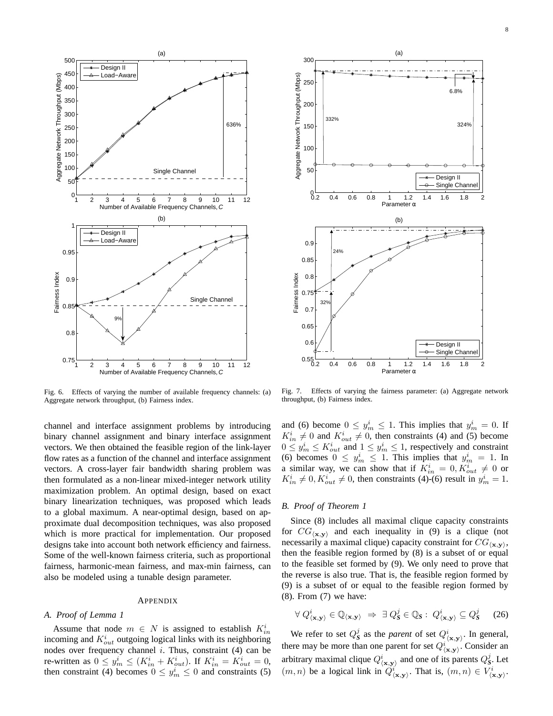

Fig. 6. Effects of varying the number of available frequency channels: (a) Aggregate network throughput, (b) Fairness index.

channel and interface assignment problems by introducing binary channel assignment and binary interface assignment vectors. We then obtained the feasible region of the link-layer flow rates as a function of the channel and interface assignment vectors. A cross-layer fair bandwidth sharing problem was then formulated as a non-linear mixed-integer network utility maximization problem. An optimal design, based on exact binary linearization techniques, was proposed which leads to a global maximum. A near-optimal design, based on approximate dual decomposition techniques, was also proposed which is more practical for implementation. Our proposed designs take into account both network efficiency and fairness. Some of the well-known fairness criteria, such as proportional fairness, harmonic-mean fairness, and max-min fairness, can also be modeled using a tunable design parameter.

#### **APPENDIX**

#### *A. Proof of Lemma 1*

Assume that node  $m \in N$  is assigned to establish  $K_{in}^i$ incoming and  $K_{out}^i$  outgoing logical links with its neighboring nodes over frequency channel  $i$ . Thus, constraint (4) can be re-written as  $0 \le y_m^i \le (K_{in}^i + K_{out}^i)$ . If  $K_{in}^i = K_{out}^i = 0$ , then constraint (4) becomes  $0 \le y_m^i \le 0$  and constraints (5)



Fig. 7. Effects of varying the fairness parameter: (a) Aggregate network throughput, (b) Fairness index.

and (6) become  $0 \leq y_m^i \leq 1$ . This implies that  $y_m^i = 0$ . If  $K_{in}^{i} \neq 0$  and  $K_{out}^{i} \neq 0$ , then constraints (4) and (5) become  $0 \le y_m^i \le K_{out}^i$  and  $1 \le y_m^i \le 1$ , respectively and constraint (6) becomes  $0 \leq y_m^i \leq 1$ . This implies that  $y_m^i = 1$ . In a similar way, we can show that if  $K_{in}^i = 0, K_{out}^i \neq 0$  or  $K_{in}^{i} \neq 0, K_{out}^{i} \neq 0$ , then constraints (4)-(6) result in  $y_{m}^{i} = 1$ .

## *B. Proof of Theorem 1*

Since (8) includes all maximal clique capacity constraints for  $CG_{\langle x,y \rangle}$  and each inequality in (9) is a clique (not necessarily a maximal clique) capacity constraint for  $CG_{\langle \mathbf{x}, \mathbf{y} \rangle}$ , then the feasible region formed by (8) is a subset of or equal to the feasible set formed by (9). We only need to prove that the reverse is also true. That is, the feasible region formed by (9) is a subset of or equal to the feasible region formed by (8). From (7) we have:

$$
\forall Q^i_{\langle \mathbf{x}, \mathbf{y} \rangle} \in \mathbb{Q}_{\langle \mathbf{x}, \mathbf{y} \rangle} \Rightarrow \exists Q^j_{\mathbf{S}} \in \mathbb{Q}_{\mathbf{S}} : Q^i_{\langle \mathbf{x}, \mathbf{y} \rangle} \subseteq Q^j_{\mathbf{S}} \quad (26)
$$

We refer to set  $Q_{\mathcal{S}}^j$  as the *parent* of set  $Q_{\langle \mathbf{x},\mathbf{y} \rangle}^i$ . In general, there may be more than one parent for set  $Q^i_{\langle \mathbf{x},\mathbf{y}\rangle}$ . Consider an arbitrary maximal clique  $Q^i_{\langle \mathbf{x}, \mathbf{y} \rangle}$  and one of its parents  $Q^j_{\mathcal{S}}$ . Let  $(m, n)$  be a logical link in  $\widetilde{Q}_{\langle \mathbf{x}, \mathbf{y} \rangle}^i$ . That is,  $(m, n) \in V_{\langle \mathbf{x}, \mathbf{y} \rangle}^i$ .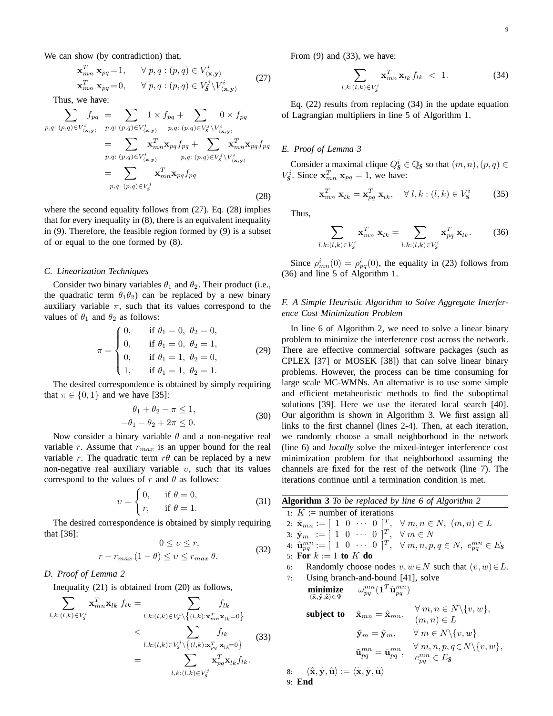We can show (by contradiction) that,

$$
\mathbf{x}_{mn}^T \mathbf{x}_{pq} = 1, \qquad \forall \ p, q : (p, q) \in V_{(\mathbf{x}, \mathbf{y})}^i
$$
  
\n
$$
\mathbf{x}_{mn}^T \mathbf{x}_{pq} = 0, \qquad \forall \ p, q : (p, q) \in V_{\mathcal{S}}^j \setminus V_{(\mathbf{x}, \mathbf{y})}^i
$$
\n(27)

Thus, we have:

$$
\sum_{p,q: (p,q)\in V_{(\mathbf{x},\mathbf{y})}^i} f_{pq} = \sum_{p,q: (p,q)\in V_{(\mathbf{x},\mathbf{y})}^i} 1 \times f_{pq} + \sum_{p,q: (p,q)\in V_{\mathbf{y}}^j \setminus V_{(\mathbf{x},\mathbf{y})}^i} 0 \times f_{pq}
$$
\n
$$
= \sum_{p,q: (p,q)\in V_{(\mathbf{x},\mathbf{y})}^i} \mathbf{x}_{mn}^T \mathbf{x}_{pq} f_{pq} + \sum_{p,q: (p,q)\in V_{\mathbf{y}}^j \setminus V_{(\mathbf{x},\mathbf{y})}^i} \mathbf{x}_{mn}^T \mathbf{x}_{pq} f_{pq}
$$
\n
$$
= \sum_{p,q: (p,q)\in V_{\mathbf{y}}^j} \mathbf{x}_{mn}^T \mathbf{x}_{pq} f_{pq}
$$
\n(28)

where the second equality follows from (27). Eq. (28) implies that for every inequality in (8), there is an equivalent inequality in (9). Therefore, the feasible region formed by (9) is a subset of or equal to the one formed by (8).

## *C. Linearization Techniques*

Consider two binary variables  $\theta_1$  and  $\theta_2$ . Their product (i.e., the quadratic term  $\theta_1 \theta_2$ ) can be replaced by a new binary auxiliary variable  $\pi$ , such that its values correspond to the values of  $\theta_1$  and  $\theta_2$  as follows:

$$
\pi = \begin{cases}\n0, & \text{if } \theta_1 = 0, \ \theta_2 = 0, \\
0, & \text{if } \theta_1 = 0, \ \theta_2 = 1, \\
0, & \text{if } \theta_1 = 1, \ \theta_2 = 0, \\
1, & \text{if } \theta_1 = 1, \ \theta_2 = 1.\n\end{cases}
$$
\n(29)

The desired correspondence is obtained by simply requiring that  $\pi \in \{0, 1\}$  and we have [35]:

$$
\theta_1 + \theta_2 - \pi \le 1,-\theta_1 - \theta_2 + 2\pi \le 0.
$$
 (30)

Now consider a binary variable  $\theta$  and a non-negative real variable r. Assume that  $r_{max}$  is an upper bound for the real variable r. The quadratic term  $r\theta$  can be replaced by a new non-negative real auxiliary variable  $v$ , such that its values correspond to the values of r and  $\theta$  as follows:

$$
v = \begin{cases} 0, & \text{if } \theta = 0, \\ r, & \text{if } \theta = 1. \end{cases}
$$
 (31)

The desired correspondence is obtained by simply requiring that [36]:  $0 < u < r$ 

$$
0 \le v \le r,
$$
  
\n
$$
r - r_{max} (1 - \theta) \le v \le r_{max} \theta.
$$
\n(32)

*D. Proof of Lemma 2*

Inequality (21) is obtained from (20) as follows,

$$
\sum_{l,k:(l,k)\in V_{\mathcal{S}}^i} \mathbf{x}_{mn}^T \mathbf{x}_{lk} f_{lk} = \sum_{l,k:(l,k)\in V_{\mathcal{S}}^i \setminus \{(l,k): \mathbf{x}_{mn}^T \mathbf{x}_{lk}=0\}} f_{lk}
$$
\n
$$
\langle \sum_{l,k:(l,k)\in V_{\mathcal{S}}^j \setminus \{(l,k): \mathbf{x}_{pq}^T \mathbf{x}_{lk}=0\}} f_{lk}
$$
\n
$$
= \sum_{l,k:(l,k)\in V_{\mathcal{S}}^j} \mathbf{x}_{pq}^T \mathbf{x}_{lk} f_{lk}.
$$
\n(33)

From (9) and (33), we have:

$$
\sum_{l,k:(l,k)\in V_{\mathcal{S}}^i} \mathbf{x}_{mn}^T \mathbf{x}_{lk} f_{lk} < 1. \tag{34}
$$

Eq. (22) results from replacing (34) in the update equation of Lagrangian multipliers in line 5 of Algorithm 1.

## *E. Proof of Lemma 3*

Consider a maximal clique  $Q_S^i \in \mathbb{Q}_S$  so that  $(m, n), (p, q) \in$  $V_s^i$ . Since  $\mathbf{x}_{mn}^T \mathbf{x}_{pq} = 1$ , we have:

$$
\mathbf{x}_{mn}^T \mathbf{x}_{lk} = \mathbf{x}_{pq}^T \mathbf{x}_{lk}, \quad \forall \ l, k : (l, k) \in V_S^i \tag{35}
$$

Thus,

$$
\sum_{l,k:(l,k)\in V_{\mathcal{S}}^i} \mathbf{x}_{mn}^T \mathbf{x}_{lk} = \sum_{l,k:(l,k)\in V_{\mathcal{S}}^i} \mathbf{x}_{pq}^T \mathbf{x}_{lk}.
$$
 (36)

Since  $\rho_{mn}^i(0) = \rho_{pq}^i(0)$ , the equality in (23) follows from (36) and line 5 of Algorithm 1.

## *F. A Simple Heuristic Algorithm to Solve Aggregate Interference Cost Minimization Problem*

In line 6 of Algorithm 2, we need to solve a linear binary problem to minimize the interference cost across the network. There are effective commercial software packages (such as CPLEX [37] or MOSEK [38]) that can solve linear binary problems. However, the process can be time consuming for large scale MC-WMNs. An alternative is to use some simple and efficient metaheuristic methods to find the suboptimal solutions [39]. Here we use the iterated local search [40]. Our algorithm is shown in Algorithm 3. We first assign all links to the first channel (lines 2-4). Then, at each iteration, we randomly choose a small neighborhood in the network (line 6) and *locally* solve the mixed-integer interference cost minimization problem for that neighborhood assuming the channels are fixed for the rest of the network (line 7). The iterations continue until a termination condition is met.

| <b>Algorithm 3</b> To be replaced by line 6 of Algorithm 2                            |                                                                              |                                                                                                                    |
|---------------------------------------------------------------------------------------|------------------------------------------------------------------------------|--------------------------------------------------------------------------------------------------------------------|
| 1: $K :=$ number of iterations                                                        |                                                                              |                                                                                                                    |
|                                                                                       |                                                                              | 2: $\hat{\mathbf{x}}_{mn} := [ 1 \ 0 \ \cdots \ 0 \ ]^T$ , $\forall m, n \in N$ , $(m, n) \in L$                   |
| 3: $\hat{\mathbf{y}}_m := [1 \ 0 \ \cdots \ 0]^T$ , $\forall m \in N$                 |                                                                              |                                                                                                                    |
|                                                                                       |                                                                              | 4: $\hat{\mathbf{u}}_{pq}^{mn} := [ 1 \ 0 \ \cdots \ 0 \ ]^T$ , $\forall m, n, p, q \in N$ , $e_{pq}^{mn} \in E_S$ |
| 5: For $k := 1$ to K do                                                               |                                                                              |                                                                                                                    |
| Randomly choose nodes $v, w \in N$ such that $(v, w) \in L$ .<br>6:                   |                                                                              |                                                                                                                    |
| 7: Using branch-and-bound [41], solve                                                 |                                                                              |                                                                                                                    |
| $\langle \tilde{\mathbf{x}}, \tilde{\mathbf{y}}, \tilde{\mathbf{z}} \rangle \in \Psi$ | <b>minimize</b> $\omega_{na}^{mn}(\mathbf{1}^T\tilde{\mathbf{u}}_{na}^{mn})$ |                                                                                                                    |
|                                                                                       | subject to $\tilde{\mathbf{x}}_{mn} = \hat{\mathbf{x}}_{mn},$                | $\forall m, n \in N \setminus \{v, w\},\$<br>$(m, n) \in L$                                                        |
|                                                                                       | $\tilde{\mathbf{y}}_m = \hat{\mathbf{y}}_m,$                                 | $\forall m \in N \backslash \{v, w\}$                                                                              |
|                                                                                       | $\tilde{\mathbf{u}}_{na}^{mn} = \hat{\mathbf{u}}_{na}^{mn},$                 | $\forall m, n, p, q \in N \setminus \{v, w\},\$<br>$e_{pa}^{mn} \in E_S$                                           |
|                                                                                       |                                                                              |                                                                                                                    |

8:  $\langle \hat{\mathbf{x}}, \hat{\mathbf{y}}, \hat{\mathbf{u}} \rangle := \langle \tilde{\mathbf{x}}, \tilde{\mathbf{y}}, \tilde{\mathbf{u}} \rangle$ 9: **End**